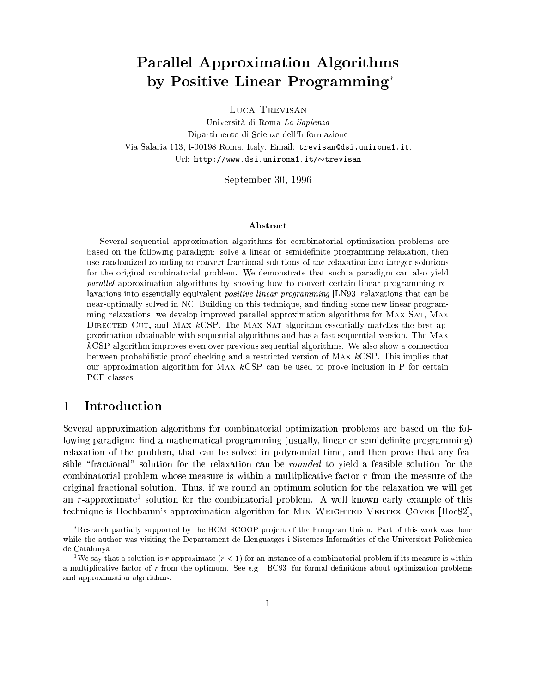# Parallel Approximation Algorithms by Positive Linear Programming

Luca Trevisan

Universita di Roma La Sapienza Dipartimento di Scienze dell'Informazione Via Salaria 113, I-00198 Roma, Italy. Email: trevisan@dsi.uniroma1.it. Url: http://www.dsi.uniroma1.it/ $\sim$ trevisan

September 30, <sup>1996</sup>

#### Abstract

Several sequential approximation algorithms for combinatorial optimization problems are based on the following paradigm: solve a linear or semidefinite programming relaxation, then use randomized rounding to convert fractional solutions of the relaxation into integer solutions for the original combinatorial problem. We demonstrate that such <sup>a</sup> paradigm can also yield parallel approximation algorithms by showing how to convert certain linear programming relaxations into essentially equivalent *positive linear programming* [LN93] relaxations that can be near-optimally solved in NC. Building on this technique, and finding some new linear programming relaxations, we develop improved parallel approximation algorithms for Max Sat, Max DIRECTED CUT, and MAX  $kCSP$ . The MAX SAT algorithm essentially matches the best approximation obtainable with sequential algorithms and has <sup>a</sup> fast sequential version. The Max kCSP algorithm improves even over previous sequential algorithms. We also show <sup>a</sup> connection between probabilistic proof checking and <sup>a</sup> restricted version of Max kCSP. This implies that our approximation algorithm for MAX  $kCSP$  can be used to prove inclusion in P for certain PCP classes.

### 1 Introduction

Several approximation algorithms for combinatorial optimization problems are based on the following paradigm: find a mathematical programming (usually, linear or semidefinite programming) relaxation of the problem, that can be solved in polynomial time, and then prove that any feasible "fractional" solution for the relaxation can be *rounded* to yield a feasible solution for the combinatorial problem whose measure is within a multiplicative factor  $r$  from the measure of the original fractional solution. Thus, if we round an optimum solution for the relaxation we will get an *r*-approximate<sup>r</sup> solution for the combinatorial problem. A well known early example of this technique is Hochbaum's approximation algorithm for MIN WEIGHTED VERTEX COVER [Hoc82],

Research partially supported by the HCM SCOOP pro ject of the European Union. Part of this work was done while the author was visiting the Departament de Llenguatges <sup>i</sup> Sistemes Informatics of the Universitat Politecnica de Catalunya

<sup>&</sup>lt;sup>1</sup>We say that a solution is r-approximate  $(r < 1)$  for an instance of a combinatorial problem if its measure is within a multiplicative factor of  $r$  from the optimum. See e.g. [BC93] for formal definitions about optimization problems and approximation algorithms.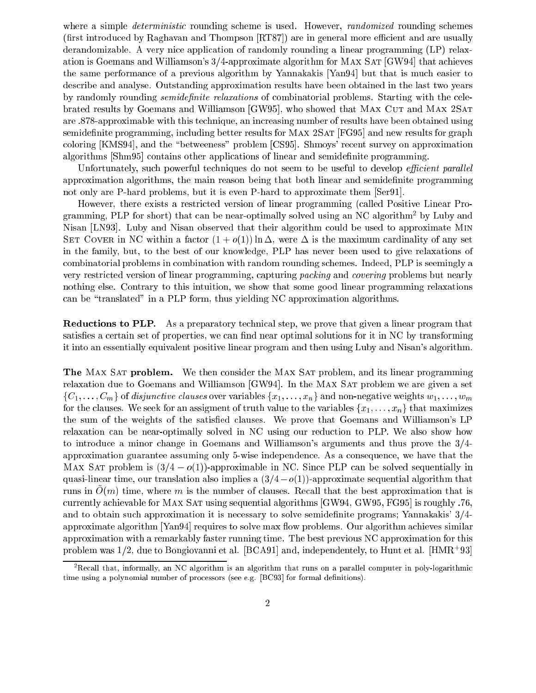where a simple *deterministic* rounding scheme is used. However, *randomized* rounding schemes (first introduced by Raghavan and Thompson [RT87]) are in general more efficient and are usually derandomizable. A very nice application of randomly rounding a linear programming (LP) relaxation is Goemans and Williamson's  $3/4$ -approximate algorithm for MAX SAT [GW94] that achieves the same performance of a previous algorithm by Yannakakis [Yan94] but that is much easier to describe and analyse. Outstanding approximation results have been obtained in the last two years by randomly rounding *semidefinite relaxations* of combinatorial problems. Starting with the celebrated results by Goemans and Williamson [GW95], who showed that MAX CUT and MAX 2SAT are :878-approximable with this technique, an increasing number of results have been obtained using semidefinite programming, including better results for MAX 2SAT [FG95] and new results for graph coloring [KMS94], and the "betweeness" problem [CS95]. Shmoys' recent survey on approximation algorithms [Shm95] contains other applications of linear and semidefinite programming.

Unfortunately, such powerful techniques do not seem to be useful to develop *efficient parallel* approximation algorithms, the main reason being that both linear and semidefinite programming not only are P-hard problems, but it is even P-hard to approximate them [Ser91].

However, there exists a restricted version of linear programming (called Positive Linear Programming, PLP for short) that can be near-optimally solved using an NC algorithm<sup>2</sup> by Luby and Nisan [LN93]. Luby and Nisan observed that their algorithm could be used to approximate Min SET COVER in NC within a factor  $(1 + o(1)) \ln \Delta$ , were  $\Delta$  is the maximum cardinality of any set in the family, but, to the best of our knowledge, PLP has never been used to give relaxations of combinatorial problems in combination with random rounding schemes. Indeed, PLP is seemingly a very restricted version of linear programming, capturing packing and covering problems but nearly nothing else. Contrary to this intuition, we show that some good linear programming relaxations can be "translated" in a PLP form, thus yielding NC approximation algorithms.

Reductions to PLP. As a preparatory technical step, we prove that given a linear program that satisfies a certain set of properties, we can find near optimal solutions for it in NC by transforming it into an essentially equivalent positive linear program and then using Luby and Nisan's algorithm.

The MAX SAT problem. We then consider the MAX SAT problem, and its linear programming relaxation due to Goemans and Williamson [GW94]. In the MAX SAT problem we are given a set  $\{C_1,\ldots,C_m\}$  of disjunctive clauses over variables  $\{x_1,\ldots,x_n\}$  and non-negative weights  $w_1,\ldots,w_m$ for the clauses. We seek for an assigment of truth value to the variables  $\{x_1, \ldots, x_n\}$  that maximizes the sum of the weights of the satisfied clauses. We prove that Goemans and Williamson's LP relaxation can be near-optimally solved in NC using our reduction to PLP. We also show how to introduce a minor change in Goemans and Williamson's arguments and thus prove the 3/4 approximation guarantee assuming only 5-wise independence. As a consequence, we have that the MAX SAT problem is  $(3/4 - o(1))$ -approximable in NC. Since PLP can be solved sequentially in quasi-linear time, our translation also implies a  $(3/4 - o(1))$ -approximate sequential algorithm that runs in  $O(m)$  time, where m is the number of clauses. Recall that the best approximation that is currently achievable for Max Sat using sequential algorithms [GW94, GW95, FG95] is roughly :76, and to obtain such approximation it is necessary to solve semidefinite programs; Yannakakis'  $3/4$ approximate algorithm  $[Yang4]$  requires to solve max flow problems. Our algorithm achieves similar approximation with a remarkably faster running time. The best previous NC approximation for this problem was 1/2, due to Bongiovanni et al. [BCA91] and, independentely, to Hunt et al. [HMR+ 93]

<sup>2</sup> Recall that, informally, an NC algorithm is an algorithm that runs on <sup>a</sup> parallel computer in poly-logarithmic time using a polynomial number of processors (see e.g. [BC93] for formal definitions).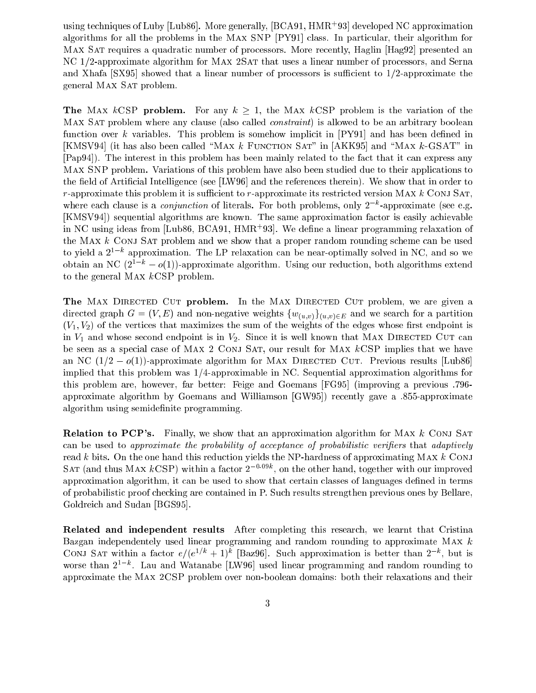using techniques of Luby  $\lceil$ Lub80]. More generally,  $\lceil$ DCA91, HMR+93] developed NC approximation algorithms for all the problems in the Max SNP [PY91] class. In particular, their algorithm for MAX SAT requires a quadratic number of processors. More recently, Haglin [Hag92] presented an NC 1/2-approximate algorithm for MAX 2SAT that uses a linear number of processors, and Serna and Xhafa  $[SX95]$  showed that a linear number of processors is sufficient to  $1/2$ -approximate the general Max Sat problem.

**The** MAX kCSP problem. For any  $k \geq 1$ , the MAX kCSP problem is the variation of the MAX SAT problem where any clause (also called *constraint*) is allowed to be an arbitrary boolean function over k variables. This problem is somehow implicit in  $[PY91]$  and has been defined in [KMSV94] (it has also been called "MAX k FUNCTION SAT" in [AKK95] and "MAX k-GSAT" in [Pap94]). The interest in this problem has been mainly related to the fact that it can express any Max SNP problem. Variations of this problem have also been studied due to their applications to the field of Artificial Intelligence (see [LW96] and the references therein). We show that in order to  $r$ -approximate this problem it is sufficient to  $r$ -approximate its restricted version MAX  $k$  Conj SAT, where each clause is a *conjunction* of literals. For both problems, only 2  $-$ approximate (see e.g. [KMSV94]) sequential algorithms are known. The same approximation factor is easily achievable in ive using ideas from [Lubo0, BCA91, HMR+95]. We define a linear programming relaxation of the MAX  $k$  CONJ SAT problem and we show that a proper random rounding scheme can be used to yield a  $2$   $\,$  approximation. The LP relaxation can be near-optimally solved in NC, and so we obtain an NC  $(2^{1-k} - o(1))$ -approximate algorithm. Using our reduction, both algorithms extend to the general Max kCSP problem.

The MAX DIRECTED CUT problem. In the MAX DIRECTED CUT problem, we are given a directed graph  $G = (V, E)$  and non-negative weights  $\{w_{(u,v)}\}_{(u,v)\in E}$  and we search for a partition  $(V_1, V_2)$  of the vertices that maximizes the sum of the weights of the edges whose first endpoint is in  $V_1$  and whose second endpoint is in  $V_2$ . Since it is well known that MAX DIRECTED CUT can be seen as a special case of MAX 2 CONJ SAT, our result for MAX  $kCSP$  implies that we have an NC  $(1/2 - o(1))$ -approximate algorithm for MAX DIRECTED CUT. Previous results [Lub86] implied that this problem was  $1/4$ -approximable in NC. Sequential approximation algorithms for this problem are, however, far better: Feige and Goemans [FG95] (improving a previous :796 approximate algorithm by Goemans and Williamson [GW95]) recently gave a :855-approximate algorithm using semidefinite programming.

**Relation to PCP's.** Finally, we show that an approximation algorithm for MAX  $k$  CONJ SAT can be used to approximate the probability of acceptance of probabilistic verifiers that adaptively read  $k$  bits. On the one hand this reduction yields the NP-hardness of approximating MAX  $k$  CONJ SAT (and thus MAX  $k\text{CSP}$ ) within a factor  $2^{-0.09k}$ , on the other hand, together with our improved approximation algorithm, it can be used to show that certain classes of languages defined in terms of probabilistic proof checking are contained in P. Such results strengthen previous ones by Bellare, Goldreich and Sudan [BGS95].

Related and independent results After completing this research, we learnt that Cristina Bazgan independentely used linear programming and random rounding to approximate Max k CONJ SAT within a factor  $e/(e^{1/k}+1)^k$  [Baz96]. Such approximation is better than  $2^{-k}$ , but is worse than 21k . Lau and Watanabe [LW96] used linear programming and random rounding to approximate the Max 2CSP problem over non-boolean domains: both their relaxations and their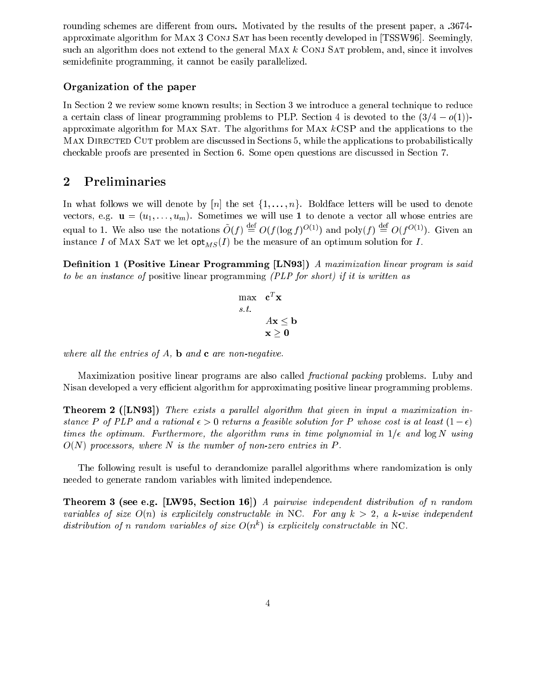rounding schemes are different from ours. Motivated by the results of the present paper, a  $.3674$ approximate algorithm for Max 3 Conj Sat has been recently developed in [TSSW96]. Seemingly, such an algorithm does not extend to the general MAX  $k$  Conj SAT problem, and, since it involves semidefinite programming, it cannot be easily parallelized.

### Organization of the paper

In Section 2 we review some known results; in Section 3 we introduce a general technique to reduce a certain class of linear programming problems to PLP. Section 4 is devoted to the  $(3/4 - o(1))$ approximate algorithm for MAX SAT. The algorithms for MAX  $kCSP$  and the applications to the MAX DIRECTED CUT problem are discussed in Sections 5, while the applications to probabilistically checkable proofs are presented in Section 6. Some open questions are discussed in Section 7.

### 2 Preliminaries

In what follows we will denote by [n] the set  $\{1, \ldots, n\}$ . Boldface letters will be used to denote vectors, e.g.  $\mathbf{u} = (u_1, \ldots, u_m)$ . Sometimes we will use 1 to denote a vector all whose entries are equal to 1. We also use the notations  $O(f) \equiv O(f(\log f)^{O(1)})$  and  $\text{poly}(f) \equiv O(f^{O(1)})$ . Given an instance I of MAX SAT we let  $opt_{MS}(I)$  be the measure of an optimum solution for I.

**Definition 1 (Positive Linear Programming [LN93])** A maximization linear program is said to be an instance of positive linear programming (PLP for short) if it is written as

$$
\begin{aligned}\n\max \quad & \mathbf{c}^T \mathbf{x} \\
s.t. \quad & A\mathbf{x} \leq \mathbf{b} \\
 & \mathbf{x} \geq \mathbf{0}\n\end{aligned}
$$

where all the entries of A,  $\bf{b}$  and  $\bf{c}$  are non-negative.

Maximization positive linear programs are also called fractional packing problems. Luby and Nisan developed a very efficient algorithm for approximating positive linear programming problems.

**Theorem 2** ([LN93]) There exists a parallel algorithm that given in input a maximization instance P of PLP and a rational  $\epsilon > 0$  returns a feasible solution for P whose cost is at least  $(1 - \epsilon)$ times the optimum. Furthermore, the algorithm runs in time polynomial in  $1/\epsilon$  and  $\log N$  using  $O(N)$  processors, where N is the number of non-zero entries in P.

The following result is useful to derandomize parallel algorithms where randomization is only needed to generate random variables with limited independence.

Theorem 3 (see e.g. [LW95, Section 16]) A pairwise independent distribution of n random variables of size  $O(n)$  is explicitely constructable in NC. For any  $k > 2$ , a k-wise independent distribution of n random variables of size  $O(n^k)$  is explicitely constructable in NC.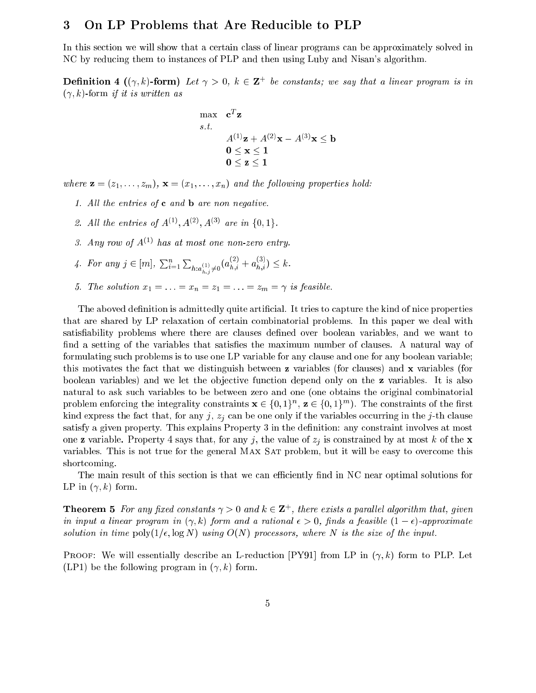## 3 On LP Problems that Are Reducible to PLP

In this section we will show that a certain class of linear programs can be approximately solved in NC by reducing them to instances of PLP and then using Luby and Nisan's algorithm.

**Definition 4** (( $\gamma$ , k)-form) Let  $\gamma > 0$ ,  $k \in \mathbf{Z}^+$  be constants; we say that a linear program is in  $(\gamma, k)$ -form if it is written as

$$
\begin{aligned}\n\max \quad & \mathbf{c}^T \mathbf{z} \\
s.t. \\
A^{(1)}\mathbf{z} + A^{(2)}\mathbf{x} - A^{(3)}\mathbf{x} \le \mathbf{b} \\
& 0 \le \mathbf{x} \le 1 \\
& 0 \le \mathbf{z} \le 1\n\end{aligned}
$$

where  $\mathbf{z} = (z_1, \ldots, z_m)$ ,  $\mathbf{x} = (x_1, \ldots, x_n)$  and the following properties hold:

- 1. All the entries of  $c$  and  $b$  are non negative.
- 2. All the entries of  $A^{(1)}$ ,  $A^{(2)}$ ,  $A^{(3)}$  are in  $\{0, 1\}$ .
- 3. Any row of  $A^{(1)}$  has at most one non-zero entry.
- 4. For any  $j \in [m], \sum_{i=1}^n$ <sup>P</sup>  $h_{l}a_{h,j}^{(1)} \neq 0$  $(a_{h,i}^{(2)} + a_{h,i}^{(3)}) \leq k.$
- 5. The solution  $x_1 = \ldots = x_n = z_1 = \ldots = z_m = \gamma$  is feasible.

The aboved definition is admittedly quite artificial. It tries to capture the kind of nice properties that are shared by LP relaxation of certain combinatorial problems. In this paper we deal with satisfiability problems where there are clauses defined over boolean variables, and we want to find a setting of the variables that satisfies the maximum number of clauses. A natural way of formulating such problems is to use one LP variable for any clause and one for any boolean variable; this motivates the fact that we distinguish between z variables (for clauses) and x variables (for boolean variables) and we let the objective function depend only on the **z** variables. It is also natural to ask such variables to be between zero and one (one obtains the original combinatorial problem enforcing the integrality constraints  $\mathbf{x} \in \{0, 1\}^{\sim}$ ,  $\mathbf{z} \in \{0, 1\}^{\sim}$ ). The constraints of the first kind express the fact that, for any j,  $z_j$  can be one only if the variables occurring in the j-th clause satisfy a given property. This explains Property 3 in the definition: any constraint involves at most one **z** variable. Property 4 says that, for any j, the value of  $z_i$  is constrained by at most k of the **x** variables. This is not true for the general Max Sat problem, but it will be easy to overcome this shortcoming.

The main result of this section is that we can efficiently find in NC near optimal solutions for LP in  $(\gamma, k)$  form.

**Theorem 5** For any fixed constants  $\gamma > 0$  and  $k \in \mathbb{Z}^+$ , there exists a parallel algorithm that, given in input a linear program in  $(\gamma, k)$  form and a rational  $\epsilon > 0$ , finds a feasible  $(1 - \epsilon)$ -approximate solution in time  $\text{poly}(1/\epsilon, \log N)$  using  $O(N)$  processors, where N is the size of the input.

PROOF: We will essentially describe an L-reduction [PY91] from LP in  $(\gamma, k)$  form to PLP. Let (LP1) be the following program in  $(\gamma, k)$  form.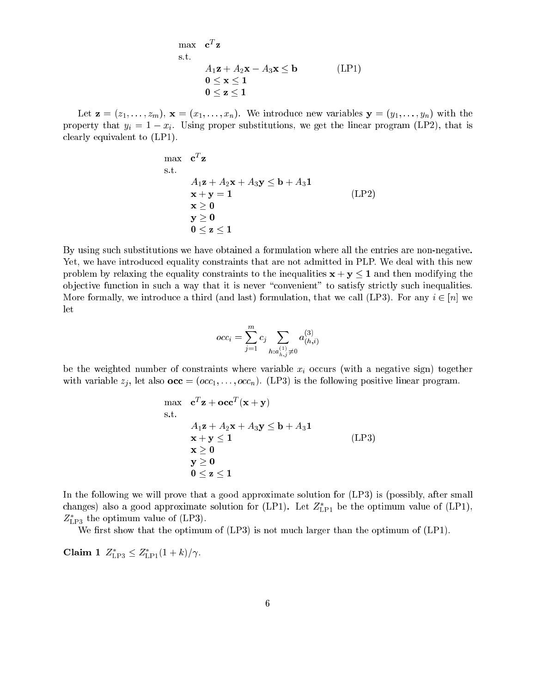$$
\begin{array}{ll}\n\max & \mathbf{c}^T \mathbf{z} \\
\text{s.t.} \\
A_1 \mathbf{z} + A_2 \mathbf{x} - A_3 \mathbf{x} \le \mathbf{b} \\
0 \le \mathbf{x} \le 1 \\
0 < \mathbf{z} < 1\n\end{array} \tag{LP1}
$$

Let  $\mathbf{z} = (z_1, \ldots, z_m)$ ,  $\mathbf{x} = (x_1, \ldots, x_n)$ . We introduce new variables  $\mathbf{y} = (y_1, \ldots, y_n)$  with the property that  $y_i = 1 - x_i$ . Using proper substitutions, we get the linear program (LP2), that is clearly equivalent to (LP1).

$$
\begin{array}{ll}\n\max & \mathbf{c}^T \mathbf{z} \\
\text{s.t.} \\
A_1 \mathbf{z} + A_2 \mathbf{x} + A_3 \mathbf{y} \le \mathbf{b} + A_3 \mathbf{1} \\
\mathbf{x} + \mathbf{y} &= \mathbf{1} \\
\mathbf{x} \ge \mathbf{0} \\
\mathbf{y} \ge \mathbf{0} \\
\mathbf{0} < \mathbf{z} < \mathbf{1}\n\end{array} \tag{LP2}
$$

By using such substitutions we have obtained a formulation where all the entries are non-negative. Yet, we have introduced equality constraints that are not admitted in PLP. We deal with this new problem by relaxing the equality constraints to the inequalities  $x + y \le 1$  and then modifying the objective function in such a way that it is never "convenient" to satisfy strictly such inequalities. More formally, we introduce a third (and last) formulation, that we call (LP3). For any  $i \in [n]$  we let

$$
occ_i = \sum_{j=1}^{m} c_j \sum_{h: a_{h,j}^{(1)} \neq 0} a_{(h,i)}^{(3)}
$$

be the weighted number of constraints where variable  $x_i$  occurs (with a negative sign) together with variable  $z_j$ , let also  $\mathbf{occ} = (occ_1, \ldots, occ_n)$ . (LP3) is the following positive linear program.

$$
\begin{array}{ll}\n\max & \mathbf{c}^T \mathbf{z} + \mathbf{occ}^T (\mathbf{x} + \mathbf{y}) \\
\text{s.t.} \\
A_1 \mathbf{z} + A_2 \mathbf{x} + A_3 \mathbf{y} \le \mathbf{b} + A_3 \mathbf{1} \\
\mathbf{x} + \mathbf{y} \le \mathbf{1} \\
\mathbf{x} \ge \mathbf{0} \\
\mathbf{y} \ge \mathbf{0} \\
\mathbf{0} \le \mathbf{z} \le \mathbf{1}\n\end{array} \tag{LP3}
$$

In the following we will prove that a good approximate solution for (LP3) is (possibly, after small changes) also a good approximate solution for (LP1). Let  $Z^*_{\text{LP1}}$  be the optimum value of (LP1),  $Z_{\text{LP3}}^{*}$  the optimum value of (LP3).

We first show that the optimum of  $(LP3)$  is not much larger than the optimum of  $(LP1)$ .

Claim 1  $Z_{\text{LP3}}^* \leq Z_{\text{LP1}}^*(1+k)/\gamma$ .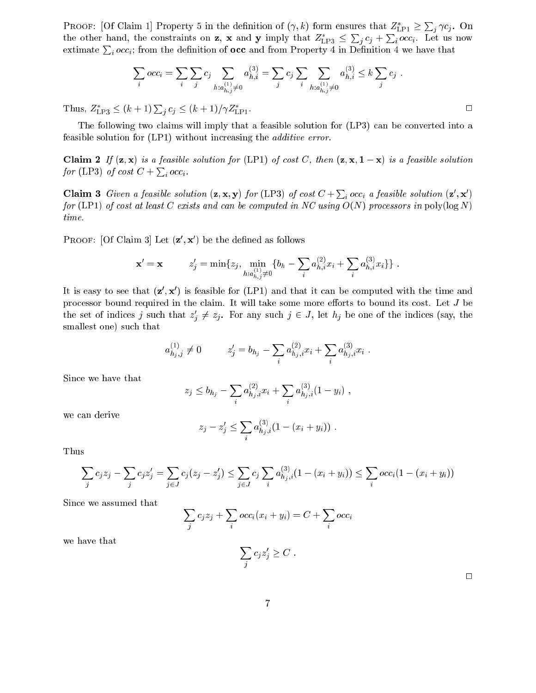Proof: [Of Claim 1] Property 5 in the definition of  $(\gamma, k)$  form ensures that  $Z_{\text{LP1}}^* \geq \sum_j \gamma c_j$ . On the other hand, the constraints on **z**, **x** and **y** imply that  $Z_{LP3}^* \leq \sum_i c_i + \sum_i occ_i$ . Let us now extimate  $\sum_i occ_i$ ; from the definition of **occ** and from Property 4 in Definition 4 we have that

$$
\sum_{i} occ_i = \sum_{i} \sum_{j} c_j \sum_{h: a_{h,j}^{(1)} \neq 0} a_{h,i}^{(3)} = \sum_{j} c_j \sum_{i} \sum_{h: a_{h,j}^{(1)} \neq 0} a_{h,i}^{(3)} \leq k \sum_{j} c_j.
$$

Thus,  $Z_{\text{LP3}}^{*} \leq (k+1) \sum_{i} c_{j} \leq (k+1)/\gamma Z_{\text{L}}^{*}$  $L$  . 2.2  $L$  . 2.2  $L$  . 2.2  $L$  . 2.2  $L$  . 2.2  $L$  . 2.2  $L$  . 2.2  $L$  . 2.2  $L$  . 2.2  $L$  . 2.2  $L$  . 2.2  $L$  . 2.2  $L$  . 2.2  $L$  . 2.2  $L$  . 2.2  $L$  . 2.2  $L$  . 2.2  $L$  . 2.2  $L$  . 2.2  $L$  . 2.2  $L$  . 2.2  $L$  . 2.2

The following two claims will imply that a feasible solution for (LP3) can be converted into a feasible solution for (LP1) without increasing the additive error.

**Claim 2** If  $(z, x)$  is a feasible solution for (LP1) of cost C, then  $(z, x, 1 - x)$  is a feasible solution for (LP3) of cost  $C + \sum_i occ_i$ .

**Claim 3** Given a feasible solution  $(z, x, y)$  for (LP3) of cost  $C + \sum_i occ_i$  a feasible solution  $(z', x')$ for (LP1) of cost at least C exists and can be computed in NC using  $O(N)$  processors in poly(log N) time.

PROOF: [OI Claim  $\delta$ ] Let  $(\mathbf{z}, \mathbf{x})$  be the defined as follows

$$
\mathbf{x}' = \mathbf{x} \hspace{1cm} z'_j = \min\{z_j, \min_{h: a_{h,j}^{(1)} \neq 0} \{b_h - \sum_i a_{h,i}^{(2)} x_i + \sum_i a_{h,i}^{(3)} x_i\}\} \; .
$$

It is easy to see that  $(\mathbf{z}\, ,\mathbf{x}\, )$  is feasible for (LP1) and that it can be computed with the time and processor bound required in the claim. It will take some more efforts to bound its cost. Let  $J$  be the set of indices j such that  $z'_i \neq z_j$ . For any such  $j \in J$ , let  $h_j$  be one of the indices (say, the smallest one) such that

$$
a_{h_j,j}^{(1)} \neq 0 \t z'_j = b_{h_j} - \sum_i a_{h_j,i}^{(2)} x_i + \sum_i a_{h_j,i}^{(3)} x_i.
$$

Since we have that

$$
z_j \le b_{h_j} - \sum_i a_{h_j,i}^{(2)} x_i + \sum_i a_{h_j,i}^{(3)} (1 - y_i) ,
$$

we can derive

$$
z_j - z'_j \leq \sum_i a_{h_j,i}^{(3)} (1 - (x_i + y_i)) \; .
$$

Thus

$$
\sum_{j} c_j z_j - \sum_{j} c_j z'_j = \sum_{j \in J} c_j (z_j - z'_j) \le \sum_{j \in J} c_j \sum_{i} a_{h_j, i}^{(3)} (1 - (x_i + y_i)) \le \sum_{i} occ_i (1 - (x_i + y_i))
$$

Since we assumed that

$$
\sum_{j} c_j z_j + \sum_{i} occ_i (x_i + y_i) = C + \sum_{i} occ_i
$$

 $\sum c_j z'_j \geq C$ .

 $\cdot$ 

we have that

 $\Box$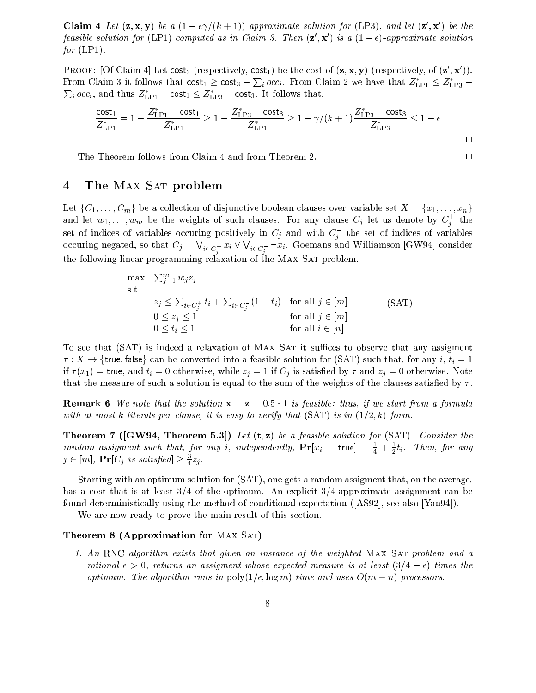**Claim 4** Let  $(\mathbf{z}, \mathbf{x}, \mathbf{y})$  be a  $(1 - \epsilon \gamma/(k+1))$  approximate solution for (LP3), and let  $(\mathbf{z}', \mathbf{x}')$  be the feasible solution for (LP1) computed as in Claim 3. Then  $({\bf z}^{\cdot},{\bf x}^{\cdot})$  is a (1  $\epsilon$ )-approximate solution for  $(LP1)$ .

PROOF: [OI Claim 4] Let cost<sub>3</sub> (respectively, cost<sub>1</sub>) be the cost of  $(z, x, y)$  (respectively, of  $(z, x)$ ). From Claim 3 it follows that  $\textsf{cost}_1 \geq \textsf{cost}_3 - \sum_i occ_i$ . From Claim 2 we have that  $Z^*_{\textsf{LP1}} \leq Z^*_{\textsf{LP3}} \sum_i occ_i$ , and thus  $Z_{\text{LP1}}^* - \text{cost}_1 \leq Z_{\text{LP3}}^* - \text{cost}_3$ . It follows that.

$$
\frac{\text{cost}_1}{Z^*_{\text{LP}1}} = 1 - \frac{Z^*_{\text{LP}1} - \text{cost}_1}{Z^*_{\text{LP}1}} \geq 1 - \frac{Z^*_{\text{LP}3} - \text{cost}_3}{Z^*_{\text{LP}1}} \geq 1 - \gamma/(k+1)\frac{Z^*_{\text{LP}3} - \text{cost}_3}{Z^*_{\text{LP}3}} \leq 1 - \epsilon
$$

 $\Box$ 

 $\Box$ 

The Theorem follows from Claim 4 and from Theorem 2.

### 4 The MAX SAT problem

Let  $\{C_1,\ldots,C_m\}$  be a collection of disjunctive boolean clauses over variable set  $X=\{x_1,\ldots,x_n\}$ and let  $w_1,\ldots,w_m$  be the weights of such clauses. For any clause  $C_j$  let us denote by  $C_j^+$  the set of indices of variables occuring positively in  $C_j$  and with  $C_i^-$  the set of indices of variables occuring negated, so that  $C_j = \bigvee_{i \in C^+} x_i \vee \bigvee_{i \in C^-} \neg x_i$ . Goemans and Williamson [GW94] consider  $\cdot$  $\cdot$ the following linear programming relaxation of the MAX SAT problem.

$$
\begin{array}{ll}\n\max & \sum_{j=1}^{m} w_j z_j \\
\text{s.t.} \\
z_j \leq \sum_{i \in C_j^+} t_i + \sum_{i \in C_j^-} (1 - t_i) & \text{for all } j \in [m] \\
0 \leq z_j \leq 1 & \text{for all } j \in [m] \\
0 \leq t_i \leq 1 & \text{for all } i \in [n]\n\end{array} \tag{SAT}
$$

To see that (SAT) is indeed a relaxation of MAX SAT it suffices to observe that any assigment  $\tau: X \to \{$ true, false} can be converted into a feasible solution for (SAT) such that, for any i,  $t_i = 1$ if  $\tau(x_1)$  = true, and  $t_i = 0$  otherwise, while  $z_i = 1$  if  $C_i$  is satisfied by  $\tau$  and  $z_i = 0$  otherwise. Note that the measure of such a solution is equal to the sum of the weights of the clauses satisfied by  $\tau$ .

**Remark 6** We note that the solution  $\mathbf{x} = \mathbf{z} = 0.5 \cdot \mathbf{1}$  is feasible: thus, if we start from a formula with at most k literals per clause, it is easy to verify that  $(SAT)$  is in  $(1/2, k)$  form.

**Theorem 7** ( $[GW94, Theorem 5.3]$ ) Let  $(t, z)$  be a feasible solution for  $(SAT)$ . Consider the random assigment such that, for any i, independently,  $Pr[x_i = true] = \frac{1}{4} + \frac{1}{2}t_i$ . Then, for any  $j \in [m]$ ,  $\mathbf{Pr}[C_j$  is satisfied  $\geq \frac{3}{4}z_j$ .

Starting with an optimum solution for (SAT), one gets a random assigment that, on the average, has a cost that is at least  $3/4$  of the optimum. An explicit  $3/4$ -approximate assignment can be found deterministically using the method of conditional expectation ([AS92], see also [Yan94]).

We are now ready to prove the main result of this section.

#### Theorem 8 (Approximation for MAX SAT)

1. An RNC algorithm exists that given an instance of the weighted Max Sat problem and a rational  $\epsilon > 0$ , returns an assigment whose expected measure is at least  $(3/4 - \epsilon)$  times the optimum. The algorithm runs in  $\text{poly}(1/\epsilon, \log m)$  time and uses  $O(m + n)$  processors.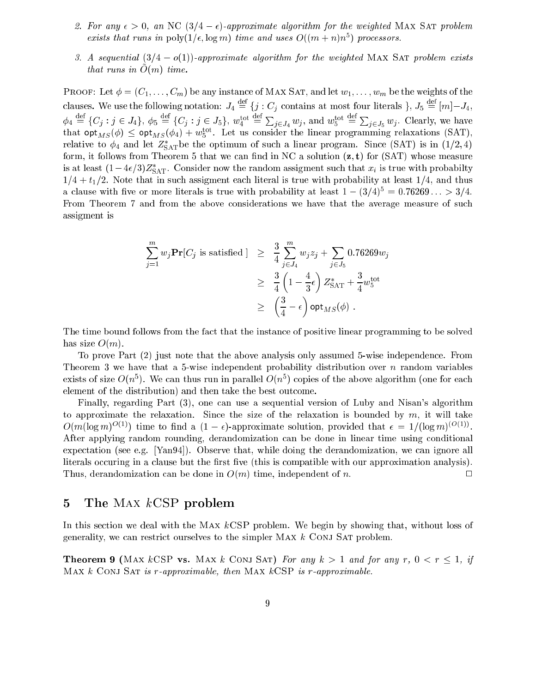- 2. For any  $\epsilon > 0$ , an NC  $(3/4 \epsilon)$ -approximate algorithm for the weighted MAX SAT problem exists that runs in  $\text{poly}(1/\epsilon, \log m)$  time and uses  $O((m + n)n^5)$  processors.
- 3. A sequential  $(3/4 o(1))$ -approximate algorithm for the weighted MAX SAT problem exists that runs in  $O(m)$  time.

PROOF: Let  $\phi = (C_1, \ldots, C_m)$  be any instance of MAX SAT, and let  $w_1, \ldots, w_m$  be the weights of the clauses. We use the following notation:  $J_4 \stackrel{\text{def}}{=} \{j : C_j \text{ contains at most four literals } \}, J_5 \stackrel{\text{def}}{=} [m]-J_4,$  $\phi_4 \stackrel{\mathrm{def}}{=} \{C_j : j \in J_4\}, \, \phi_5 \stackrel{\mathrm{def}}{=} \{C_j : j \in J_5\}, \, w_4^{\mathrm{tot}}$  $\stackrel{\text{def}}{=} \sum_{j \in J_4} w_j$ , and  $w_5^{\text{tot}}$  $\stackrel{\text{def}}{=} \sum_{j \in J_5} w_j$ . Clearly, we have that  $\mathsf{opt}_{MS}(\phi) \leq \mathsf{opt}_{MS}(\phi_4) + w_5^{\text{tot}}$ . Let us consider the linear programming relaxations (SAT), relative to  $\phi_4$  and let  $Z^*_{\text{SAT}}$ be the optimum of such a linear program. Since (SAT) is in (1/2,4) form, it follows from Theorem 5 that we can find in NC a solution  $(z, t)$  for (SAT) whose measure is at least  $(1-4\epsilon/3)Z^*_{\rm SAT}$ . Consider now the random assigment such that  $x_i$  is true with probabilty  $1/4 + t_1/2$ . Note that in such assigment each literal is true with probability at least  $1/4$ , and thus a clause with five or more literals is true with probability at least  $1 - (3/4)^5 = 0.76269... > 3/4$ . From Theorem 7 and from the above considerations we have that the average measure of such assigment is

$$
\sum_{j=1}^{m} w_j \mathbf{Pr}[C_j \text{ is satisfied}] \geq \frac{3}{4} \sum_{j \in J_4}^{m} w_j z_j + \sum_{j \in J_5} 0.76269 w_j
$$

$$
\geq \frac{3}{4} \left(1 - \frac{4}{3} \epsilon\right) Z_{\text{SAT}}^* + \frac{3}{4} w_5^{\text{tot}}
$$

$$
\geq \left(\frac{3}{4} - \epsilon\right) \text{opt}_{MS}(\phi) .
$$

The time bound follows from the fact that the instance of positive linear programming to be solved has size  $O(m)$ .

To prove Part (2) just note that the above analysis only assumed 5-wise independence. From Theorem 3 we have that a 5-wise independent probability distribution over n random variables exists of size  $O(n^5)$ . We can thus run in parallel  $O(n^5)$  copies of the above algorithm (one for each element of the distribution) and then take the best outcome.

Finally, regarding Part (3), one can use a sequential version of Luby and Nisan's algorithm to approximate the relaxation. Since the size of the relaxation is bounded by  $m$ , it will take  $O(m(\log m)^{O(1)})$  time to find a  $(1 - \epsilon)$ -approximate solution, provided that  $\epsilon = 1/(\log m)^{(O(1))}$ . After applying random rounding, derandomization can be done in linear time using conditional expectation (see e.g. [Yan94]). Observe that, while doing the derandomization, we can ignore all literals occuring in a clause but the first five (this is compatible with our approximation analysis). Thus, derandomization can be done in  $O(m)$  time, independent of n.

# 5 The Max kCSP problem

In this section we deal with the MAX kCSP problem. We begin by showing that, without loss of generality, we can restrict ourselves to the simpler MAX  $k$  CONJ SAT problem.

**Theorem 9** (MAX kCSP vs. MAX k CONJ SAT) For any  $k > 1$  and for any  $r, 0 < r \le 1$ , if MAX  $k$  CONJ SAT is r-approximable, then MAX  $k$ CSP is r-approximable.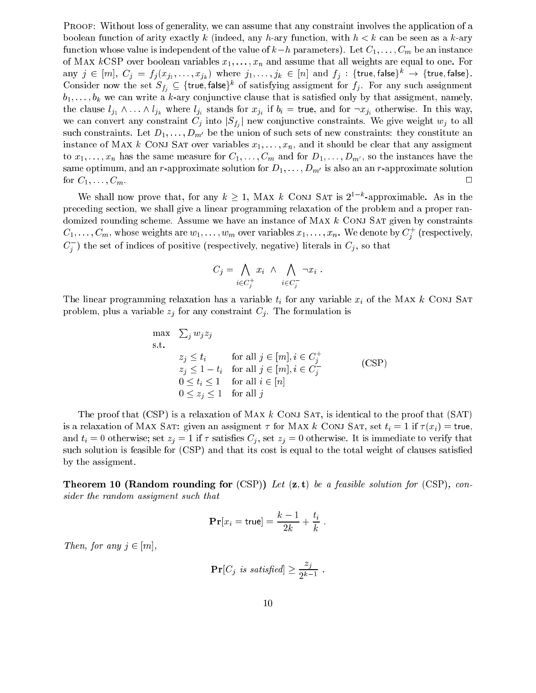Proof: Without loss of generality, we can assume that any constraint involves the application of a boolean function of arity exactly k (indeed, any h-ary function, with  $h < k$  can be seen as a k-ary function whose value is independent of the value of  $k-h$  parameters). Let  $C_1, \ldots, C_m$  be an instance of MAX  $kCSP$  over boolean variables  $x_1, \ldots, x_n$  and assume that all weights are equal to one. For  $\dim$   $j$   $\in$   $[m],$   $C_j$   $=$   $f_j(x_{j_1},\ldots,x_{j_k})$  where  $j_1,\ldots,j_k$   $\in$   $[n]$  and  $f_j$  :  $\{$ true,<code>false</code>} $^k$   $\to$   $\{$ true,<code>false</code>}. Consider now the set  $S_{f_i} \subseteq \{$ true, false $\}^k$  of satisfying assigment for  $f_j$ . For any such assignment  $b_1, \ldots, b_k$  we can write a k-ary conjunctive clause that is satisfied only by that assigment, namely, the clause  $l_{j_1} \wedge \ldots \wedge l_{j_k}$  where  $l_{j_i}$  stands for  $x_{j_i}$  if  $b_i$  = true, and for  $\neg x_{j_i}$  otherwise. In this way, we can convert any constraint  $C_j$  into  $|S_{f_j}|$  new conjunctive constraints. We give weight  $w_j$  to all such constraints. Let  $D_1, \ldots, D_{m'}$  be the union of such sets of new constraints: they constitute an instance of MAX k CONJ SAT over variables  $x_1, \ldots, x_n$ , and it should be clear that any assigment to  $x_1, \ldots, x_n$  has the same measure for  $C_1, \ldots, C_m$  and for  $D_1, \ldots, D_{m'}$ , so the instances have the same optimum, and an r-approximate solution for  $D_1, \ldots, D_{m'}$  is also an an r-approximate solution for  $C_1, \ldots, C_m$ .

We shall now prove that, for any  $k \geq 1$ , MAX k CONJ SAT is  $2^{1-k}$ -approximable. As in the preceding section, we shall give a linear programming relaxation of the problem and a proper randomized rounding scheme. Assume we have an instance of MAX  $k$  CONJ SAT given by constraints  $C_1,\ldots,C_m$ , whose weights are  $w_1,\ldots,w_m$  over variables  $x_1,\ldots,x_n$ . We denote by  $C_i^+$  (respectively,  $C_i^-$ ) the set of indices of positive (respectively, negative) literals in  $C_j$ , so that

$$
C_j = \bigwedge_{i \in C_j^+} x_i \ \wedge \ \bigwedge_{i \in C_j^-} \neg x_i \ .
$$

The linear programming relaxation has a variable  $t_i$  for any variable  $x_i$  of the MAX k CONJ SAT problem, plus a variable  $z_j$  for any constraint  $C_j$ . The formulation is

$$
\begin{array}{ll}\n\text{max} & \sum_{j} w_{j} z_{j} \\
\text{s.t.} & z_{j} \leq t_{i} \\
& z_{j} \leq 1 - t_{i} \quad \text{for all } j \in [m], i \in C_{j}^{+} \\
& z_{j} \leq 1 - t_{i} \quad \text{for all } j \in [m], i \in C_{j}^{-} \\
& 0 \leq t_{i} \leq 1 \quad \text{for all } i \in [n] \\
& 0 \leq z_{j} \leq 1 \quad \text{for all } j\n\end{array} \tag{CSP}
$$

The proof that  $(CSP)$  is a relaxation of MAX k CONJ SAT, is identical to the proof that  $(SAT)$ is a relaxation of MAX SAT: given an assigment  $\tau$  for MAX k CONJ SAT, set  $t_i = 1$  if  $\tau(x_i) = \text{true}$ , and  $t_i = 0$  otherwise; set  $z_j = 1$  if  $\tau$  satisfies  $C_j$ , set  $z_j = 0$  otherwise. It is immediate to verify that such solution is feasible for (CSP) and that its cost is equal to the total weight of clauses satisfied by the assigment.

**Theorem 10 (Random rounding for (CSP))** Let  $(z, t)$  be a feasible solution for (CSP), consider the random assigment such that

$$
\mathbf{Pr}[x_i = \text{true}] = \frac{k-1}{2k} + \frac{t_i}{k} .
$$

Then, for any  $j \in [m]$ ,

$$
\mathbf{Pr}[C_j \text{ is satisfied}] \ge \frac{z_j}{2^{k-1}}
$$

: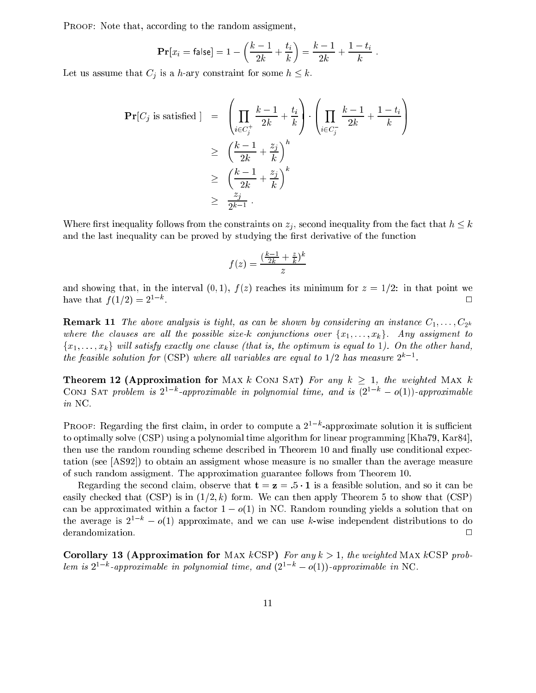PROOF: Note that, according to the random assigment,

$$
\mathbf{Pr}[x_i = \mathsf{false}] = 1 - \left(\frac{k-1}{2k} + \frac{t_i}{k}\right) = \frac{k-1}{2k} + \frac{1-t_i}{k}.
$$

Let us assume that  $C_j$  is a h-ary constraint for some  $h \leq k$ .

$$
\begin{aligned}\n\Pr[C_j \text{ is satisfied}] &= \left(\prod_{i \in C_j^+} \frac{k-1}{2k} + \frac{t_i}{k}\right) \cdot \left(\prod_{i \in C_j^-} \frac{k-1}{2k} + \frac{1-t_i}{k}\right) \\
&\ge \left(\frac{k-1}{2k} + \frac{z_j}{k}\right)^h \\
&\ge \left(\frac{k-1}{2k} + \frac{z_j}{k}\right)^k \\
&\ge \frac{z_j}{2^{k-1}}.\n\end{aligned}
$$

Where first inequality follows from the constraints on  $z_j$ , second inequality from the fact that  $h \leq k$ and the last inequality can be proved by studying the first derivative of the function

$$
f(z) = \frac{(\frac{k-1}{2k} + \frac{z}{k})^k}{z}
$$

and showing that, in the interval  $(0, 1)$ ,  $f(z)$  reaches its minimum for  $z = 1/2$ : in that point we have that  $f(1/2) = 2^{1-k}$ .  $\Box$ 

**Remark 11** The above analysis is tight, as can be shown by considering an instance  $C_1, \ldots, C_{2^k}$ where the clauses are all the possible size-k conjunctions over  $\{x_1, \ldots, x_k\}$ . Any assigment to  $\{x_1, \ldots, x_k\}$  will satisfy exactly one clause (that is, the optimum is equal to 1). On the other hand, the feasible solution for (CSP) where all variables are equal to  $1/2$  has measure  $2^{k-1}$ .

**Theorem 12 (Approximation for** MAX k CONJ SAT) For any  $k \geq 1$ , the weighted MAX k CONJ SAT problem is  $2^{1+\alpha}$ -approximable in polynomial time, and is  $(2^{1+\alpha} - o(1))$ -approximable in NC.

PROOF: Regarding the first claim, in order to compute a 2<sup>-1</sup> -approximate solution it is sufficient to optimally solve (CSP) using a polynomial time algorithm for linear programming [Kha79, Kar84], then use the random rounding scheme described in Theorem 10 and finally use conditional expectation (see [AS92]) to obtain an assigment whose measure is no smaller than the average measure of such random assigment. The approximation guarantee follows from Theorem 10.

Regarding the second claim, observe that  $t = z = 0.5 \cdot 1$  is a feasible solution, and so it can be easily checked that (CSP) is in  $(1/2, k)$  form. We can then apply Theorem 5 to show that (CSP) can be approximated within a factor  $1 - o(1)$  in NC. Random rounding yields a solution that on the average is  $2^{1-k} - o(1)$  approximate, and we can use k-wise independent distributions to do derandomization.  $\Box$ 

Corollary 13 (Approximation for MAX kCSP) For any  $k > 1$ , the weighted MAX kCSP problem is 2<sup>+</sup> "-approximable in polynomial time, and (2<sup>+</sup> "  $=$  0(1))-approximable in NC.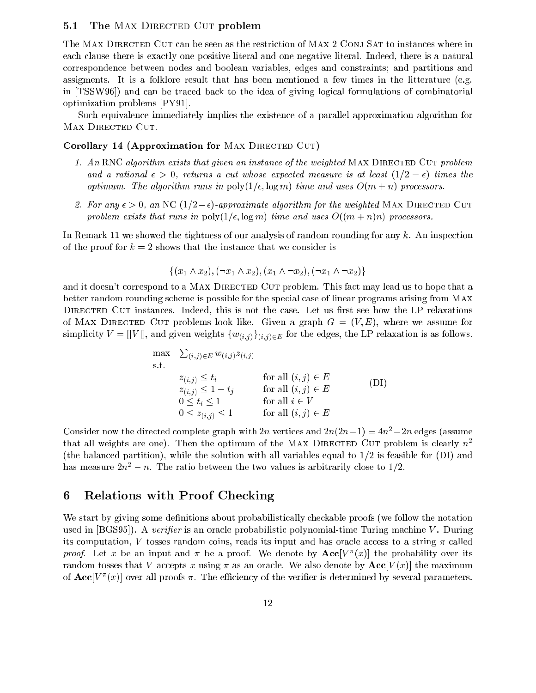#### 5.1 The MAX DIRECTED CUT problem

The MAX DIRECTED CUT can be seen as the restriction of MAX 2 CONJ SAT to instances where in each clause there is exactly one positive literal and one negative literal. Indeed, there is a natural correspondence between nodes and boolean variables, edges and constraints; and partitions and assigments. It is a folklore result that has been mentioned a few times in the litterature (e.g. in [TSSW96]) and can be traced back to the idea of giving logical formulations of combinatorial optimization problems [PY91].

Such equivalence immediately implies the existence of a parallel approximation algorithm for MAX DIRECTED CUT.

#### Corollary 14 (Approximation for MAX DIRECTED CUT)

- 1. An RNC algorithm exists that given an instance of the weighted MAX DIRECTED CUT problem and a rational  $\epsilon > 0$ , returns a cut whose expected measure is at least  $(1/2 - \epsilon)$  times the optimum. The algorithm runs in  $poly(1/\epsilon, \log m)$  time and uses  $O(m + n)$  processors.
- 2. For any  $\epsilon > 0$ , an NC  $(1/2 \epsilon)$ -approximate algorithm for the weighted MAX DIRECTED CUT problem exists that runs in  $\text{poly}(1/\epsilon, \log m)$  time and uses  $O((m + n)n)$  processors.

In Remark 11 we showed the tightness of our analysis of random rounding for any  $k$ . An inspection of the proof for  $k = 2$  shows that the instance that we consider is

 $\{(x_1 \wedge x_2), (\neg x_1 \wedge x_2), (x_1 \wedge \neg x_2), (\neg x_1 \wedge \neg x_2)\}\$ 

and it doesn't correspond to a MAX DIRECTED CUT problem. This fact may lead us to hope that a better random rounding scheme is possible for the special case of linear programs arising from Max DIRECTED CUT instances. Indeed, this is not the case. Let us first see how the LP relaxations of MAX DIRECTED CUT problems look like. Given a graph  $G = (V, E)$ , where we assume for simplicity  $V = [|V|]$ , and given weights  $\{w_{(i,j)}\}_{(i,j)\in E}$  for the edges, the LP relaxation is as follows.

$$
\begin{array}{ll}\n\max & \sum_{(i,j)\in E} w_{(i,j)} z_{(i,j)} \\
\text{s.t.} & z_{(i,j)} \le t_i & \text{for all } (i,j) \in E \\
& z_{(i,j)} \le 1 - t_j & \text{for all } (i,j) \in E \\
& 0 \le t_i \le 1 & \text{for all } i \in V \\
& 0 \le z_{(i,j)} \le 1 & \text{for all } (i,j) \in E\n\end{array} \tag{DI}
$$

Consider now the directed complete graph with 2n vertices and  $2n(2n-1) = 4n^2-2n$  edges (assume that all weights are one). Then the optimum of the MAX DIRECTED CUT problem is clearly  $n^2$ (the balanced partition), while the solution with all variables equal to 1/2 is feasible for (DI) and has measure  $2n^2 - n$ . The ratio between the two values is arbitrarily close to 1/2.

### 6 Relations with Proof Checking

We start by giving some definitions about probabilistically checkable proofs (we follow the notation used in  $[BGS95]$ ). A verifier is an oracle probabilistic polynomial-time Turing machine V. During its computation, V tosses random coins, reads its input and has oracle access to a string  $\pi$  called proof. Let x be an input and  $\pi$  be a proof. We denote by  $\text{Acc}|V^{\pi}(x)|$  the probability over its random tosses that V accepts x using  $\pi$  as an oracle. We also denote by  $\text{Acc}[V(x)]$  the maximum of  $\text{Acc}[V^{\pi}(x)]$  over all proofs  $\pi$ . The efficiency of the verifier is determined by several parameters.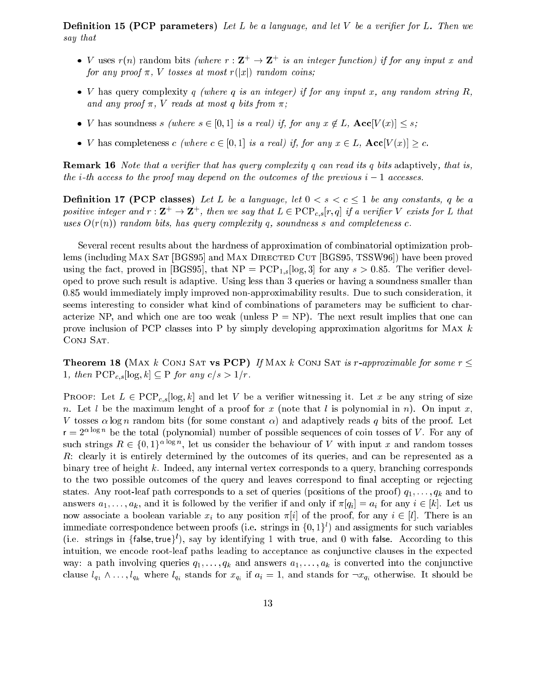**Definition 15 (PCP parameters)** Let L be a language, and let V be a verifier for L. Then we say that

- V uses  $r(n)$  random bits (where  $r: \mathbf{Z}^+ \to \mathbf{Z}^+$  is an integer function) if for any input x and for any proof  $\pi$ , V tosses at most  $r(|x|)$  random coins;
- V has query complexity q (where q is an integer) if for any input x, any random string  $R$ , and any proof  $\pi$ , V reads at most q bits from  $\pi$ ;
- *V* has soundness s (where  $s \in [0, 1]$  is a real) if, for any  $x \notin L$ ,  $Acc[V(x)] \leq s$ ;
- *V* has completeness c (where  $c \in [0, 1]$  is a real) if, for any  $x \in L$ ,  $\text{Acc}[V(x)] > c$ .

**Remark 16** Note that a verifier that has query complexity q can read its q bits adaptively, that is, the *i*-th access to the proof may depend on the outcomes of the previous  $i - 1$  accesses.

**Definition 17 (PCP classes)** Let L be a language, let  $0 < s < c \le 1$  be any constants, q be a positive integer and  $r: \mathbf{Z}^+ \to \mathbf{Z}^+$ , then we say that  $L \in {\rm PCP}_{c,s}[r,q]$  if a verifier V exists for L that uses  $O(r(n))$  random bits, has query complexity q, soundness s and completeness c.

Several recent results about the hardness of approximation of combinatorial optimization problems (including MAX SAT [BGS95] and MAX DIRECTED CUT [BGS95, TSSW96]) have been proved using the fact, proved in [BGS95], that  $NP = PCP_{1,s}[\log, 3]$  for any  $s > 0.85$ . The verifier developed to prove such result is adaptive. Using less than 3 queries or having a soundness smaller than 0.85 would immediately imply improved non-approximability results. Due to such consideration, it seems interesting to consider what kind of combinations of parameters may be sufficient to characterize NP, and which one are too weak (unless  $P = NP$ ). The next result implies that one can prove inclusion of PCP classes into P by simply developing approximation algoritms for MAX  $k$ CONJ SAT.

**Theorem 18** (MAX k CONJ SAT vs PCP) If MAX k CONJ SAT is r-approximable for some  $r <$ 1, then  $PCP_{c,s}[\log,k] \subseteq P$  for any  $c/s > 1/r$ .

**PROOF:** Let  $L \in \text{PCP}_{c,s}[\log k]$  and let V be a verifier witnessing it. Let x be any string of size n. Let l be the maximum lenght of a proof for x (note that l is polynomial in n). On input x, V tosses  $\alpha \log n$  random bits (for some constant  $\alpha$ ) and adaptively reads q bits of the proof. Let  $r = 2^{\alpha \log n}$  be the total (polynomial) number of possible sequences of coin tosses of V. For any of such strings  $R \in \{0,1\}^{\alpha \log n}$ , let us consider the behaviour of V with input x and random tosses R: clearly it is entirely determined by the outcomes of its queries, and can be represented as a binary tree of height k. Indeed, any internal vertex corresponds to a query, branching corresponds to the two possible outcomes of the query and leaves correspond to final accepting or rejecting states. Any root-leaf path corresponds to a set of queries (positions of the proof)  $q_1, \ldots, q_k$  and to answers  $a_1, \ldots, a_k$ , and it is followed by the verifier if and only if  $\pi[q_i] = a_i$  for any  $i \in [k]$ . Let us now associate a boolean variable  $x_i$  to any position  $\pi[i]$  of the proof, for any  $i \in [l]$ . There is an  $\min$ ediate correspondence between proois (i.e. strings in {0, 1}) and assigments for such variables (i.e. strings in franse, true) ), say by identifying 1 with true, and 0 with raise. According to this intuition, we encode root-leaf paths leading to acceptance as conjunctive clauses in the expected way: a path involving queries  $q_1, \ldots, q_k$  and answers  $a_1, \ldots, a_k$  is converted into the conjunctive clause  $l_{q_1} \wedge \ldots \wedge l_{q_k}$  where  $l_{q_i}$  stands for  $x_{q_i}$  if  $a_i = 1$ , and stands for  $\neg x_{q_i}$  otherwise. It should be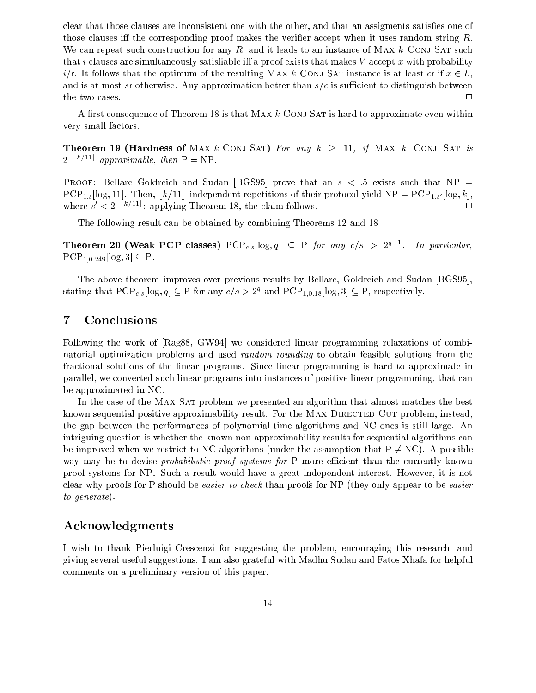clear that those clauses are inconsistent one with the other, and that an assigments satisfies one of those clauses iff the corresponding proof makes the verifier accept when it uses random string  $R$ . We can repeat such construction for any  $R$ , and it leads to an instance of MAX  $k$  CONJ SAT such that i clauses are simultaneously satisfiable iff a proof exists that makes  $V$  accept  $x$  with probability  $i/r$ . It follows that the optimum of the resulting Max k Conj Sat instance is at least cr if  $x \in L$ . and is at most sr otherwise. Any approximation better than  $s/c$  is sufficient to distinguish between the two cases.  $\Box$ 

A first consequence of Theorem 18 is that MAX  $k$  CONJ SAT is hard to approximate even within very small factors.

**Theorem 19 (Hardness of** MAX k CONJ SAT) For any  $k \ge 11$ , if MAX k CONJ SAT is  $\mathcal{Z}$  approximable, then  $\mathbf{r} = \mathbf{N}\mathbf{r}$ .

PROOF: Bellare Goldreich and Sudan [BGS95] prove that an  $s < .5$  exists such that NP =  $PCP_{1,s}$ [log, 11]. Then,  $k/11$  independent repetitions of their protocol yield NP = PCP<sub>1,s'</sub> [log, k],  $\Box$ where  $s' \leq 2^{-\lfloor n/11 \rfloor}$ : applying Theorem 18, the claim follows.

The following result can be obtained by combining Theorems 12 and 18

Theorem 20 (Weak PCP classes)  $\text{PCP}_{c,s}[\log,q] \subseteq P$  for any  $c/s > 2^{q-1}$ . In particular,  $PCP_{1,0.249}[\log, 3] \subseteq P$ .

The above theorem improves over previous results by Bellare, Goldreich and Sudan [BGS95], stating that  $PCP_{c,s}[\log,q] \subseteq P$  for any  $c/s > 2^q$  and  $PCP_{1,0.18}[\log,3] \subseteq P$ , respectively.

# 7 Conclusions

Following the work of [Rag88, GW94] we considered linear programming relaxations of combinatorial optimization problems and used *random rounding* to obtain feasible solutions from the fractional solutions of the linear programs. Since linear programming is hard to approximate in parallel, we converted such linear programs into instances of positive linear programming, that can be approximated in NC.

In the case of the MAX SAT problem we presented an algorithm that almost matches the best known sequential positive approximability result. For the MAX DIRECTED CUT problem, instead, the gap between the performances of polynomial-time algorithms and NC ones is still large. An intriguing question is whether the known non-approximability results for sequential algorithms can be improved when we restrict to NC algorithms (under the assumption that  $P \neq NC$ ). A possible way may be to devise *probabilistic proof systems for* P more efficient than the currently known proof systems for NP. Such a result would have a great independent interest. However, it is not clear why proofs for P should be easier to check than proofs for NP (they only appear to be easier to generate).

# Acknowledgments

I wish to thank Pierluigi Crescenzi for suggesting the problem, encouraging this research, and giving several useful suggestions. I am also grateful with Madhu Sudan and Fatos Xhafa for helpful comments on a preliminary version of this paper.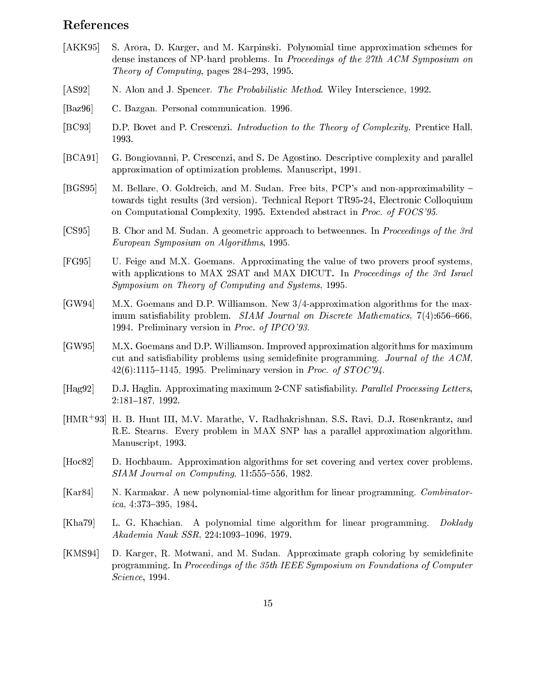# References

- [AKK95] S. Arora, D. Karger, and M. Karpinski. Polynomial time approximation schemes for dense instances of NP-hard problems. In Proceedings of the 27th ACM Symposium on Theory of Computing, pages  $284-293$ , 1995.
- [AS92] N. Alon and J. Spencer. The Probabilistic Method. Wiley Interscience, 1992.
- [Baz96] C. Bazgan. Personal communication. 1996.
- [BC93] D.P. Bovet and P. Crescenzi. Introduction to the Theory of Complexity. Prentice Hall, 1993.
- [BCA91] G. Bongiovanni, P. Crescenzi, and S. De Agostino. Descriptive complexity and parallel approximation of optimization problems. Manuscript, 1991.
- [BGS95] M. Bellare, O. Goldreich, and M. Sudan. Free bits, PCP's and non-approximability towards tight results (3rd version). Technical Report TR95-24, Electronic Colloquium on Computational Complexity, 1995. Extended abstract in Proc. of FOCS'95.
- [CS95] B. Chor and M. Sudan. A geometric approach to betweennes. In Proceedings of the 3rd European Symposium on Algorithms, 1995.
- [FG95] U. Feige and M.X. Goemans. Approximating the value of two provers proof systems, with applications to MAX 2SAT and MAX DICUT. In *Proceedings of the 3rd Israel* Symposium on Theory of Computing and Systems, 1995.
- [GW94] M.X. Goemans and D.P. Williamson. New 3/4-approximation algorithms for the maximum satisfiability problem.  $SIAM Journal$  on Discrete Mathematics, 7(4):656-666, 1994. Preliminary version in Proc. of IPCO'93.
- [GW95] M.X. Goemans and D.P. Williamson. Improved approximation algorithms for maximum cut and satisfiability problems using semidefinite programming. Journal of the  $ACM$ ,  $42(6):1115{-}1145$ , 1995. Preliminary version in Proc. of STOC'94.
- [Hag92] D.J. Haglin. Approximating maximum 2-CNF satisfiability. *Parallel Processing Letters*, 2:181-187, 1992.
- [HMR<sup>+</sup> 93] H. B. Hunt III, M.V. Marathe, V. Radhakrishnan, S.S. Ravi, D.J. Rosenkrantz, and R.E. Stearns. Every problem in MAX SNP has a parallel approximation algorithm. Manuscript, 1993.
- [Hoc82] D. Hochbaum. Approximation algorithms for set covering and vertex cover problems.  $SIAM\ Journal\ on\ Computing,\ 11:555-556,\ 1982.$
- [Kar84] N. Karmakar. A new polynomial-time algorithm for linear programming. Combinator $ica, 4:373-395, 1984.$
- [Kha79] L. G. Khachian. A polynomial time algorithm for linear programming. Doklady Akademia Nauk SSR, 224:1093-1096, 1979.
- [KMS94] D. Karger, R. Motwani, and M. Sudan. Approximate graph coloring by semidenite programming. In Proceedings of the 35th IEEE Symposium on Foundations of Computer Science, 1994.